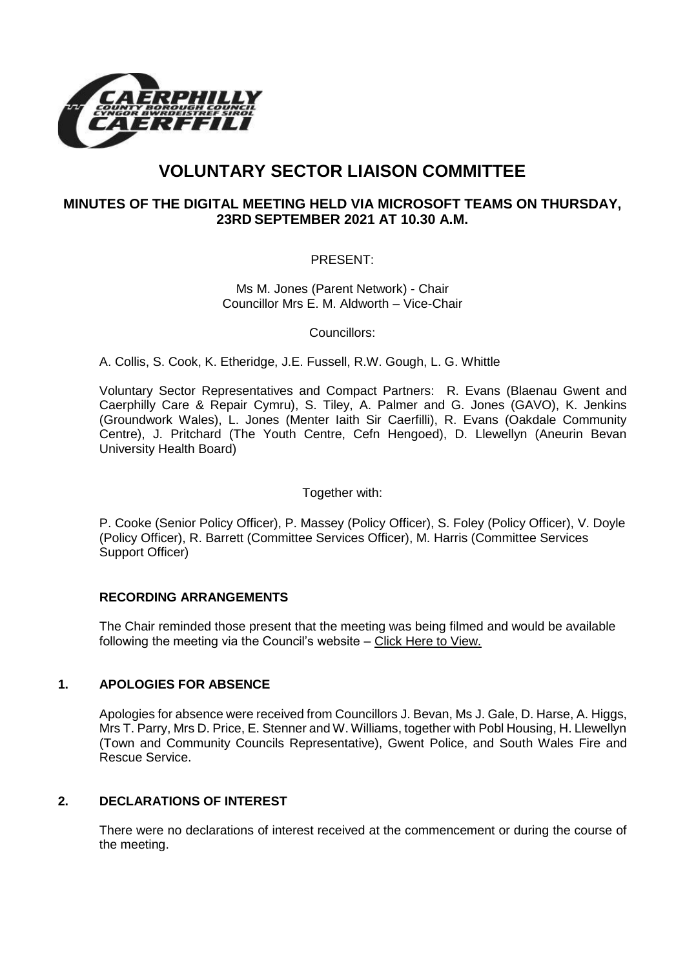

# **VOLUNTARY SECTOR LIAISON COMMITTEE**

## **MINUTES OF THE DIGITAL MEETING HELD VIA MICROSOFT TEAMS ON THURSDAY, 23RD SEPTEMBER 2021 AT 10.30 A.M.**

### PRESENT:

Ms M. Jones (Parent Network) - Chair Councillor Mrs E. M. Aldworth – Vice-Chair

Councillors:

A. Collis, S. Cook, K. Etheridge, J.E. Fussell, R.W. Gough, L. G. Whittle

Voluntary Sector Representatives and Compact Partners: R. Evans (Blaenau Gwent and Caerphilly Care & Repair Cymru), S. Tiley, A. Palmer and G. Jones (GAVO), K. Jenkins (Groundwork Wales), L. Jones (Menter Iaith Sir Caerfilli), R. Evans (Oakdale Community Centre), J. Pritchard (The Youth Centre, Cefn Hengoed), D. Llewellyn (Aneurin Bevan University Health Board)

Together with:

P. Cooke (Senior Policy Officer), P. Massey (Policy Officer), S. Foley (Policy Officer), V. Doyle (Policy Officer), R. Barrett (Committee Services Officer), M. Harris (Committee Services Support Officer)

#### **RECORDING ARRANGEMENTS**

The Chair reminded those present that the meeting was being filmed and would be available following the meeting via the Council's website – [Click Here to View.](https://www.caerphilly.gov.uk/My-Council/Meetings,-agendas,-minutes-and-reports/Council-meetings?lang=en-GB) 

#### **1. APOLOGIES FOR ABSENCE**

Apologies for absence were received from Councillors J. Bevan, Ms J. Gale, D. Harse, A. Higgs, Mrs T. Parry, Mrs D. Price, E. Stenner and W. Williams, together with Pobl Housing, H. Llewellyn (Town and Community Councils Representative), Gwent Police, and South Wales Fire and Rescue Service.

#### **2. DECLARATIONS OF INTEREST**

There were no declarations of interest received at the commencement or during the course of the meeting.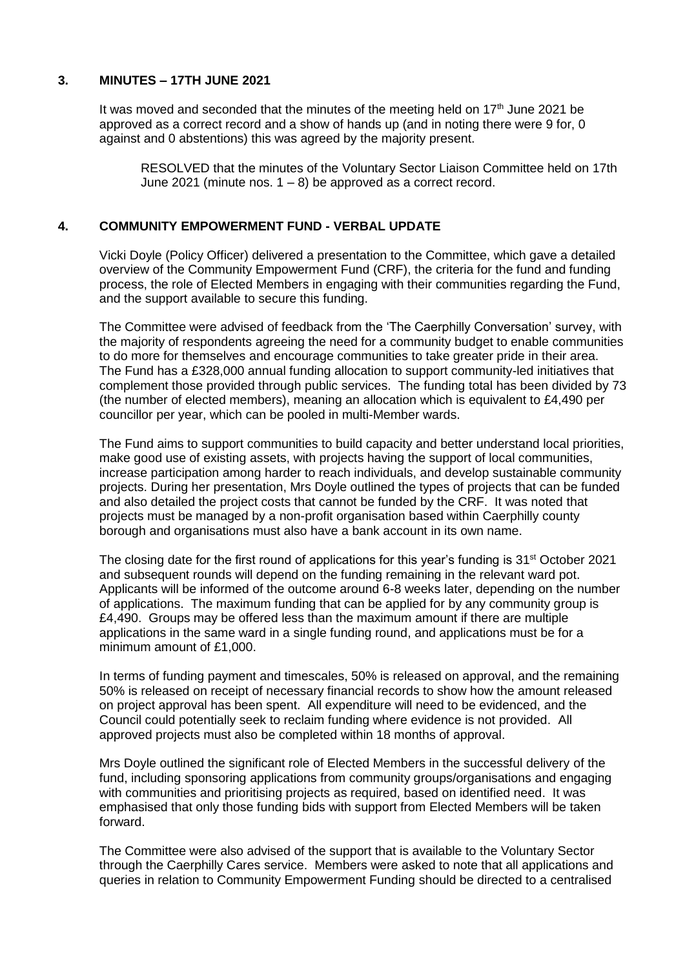#### **3. MINUTES – 17TH JUNE 2021**

It was moved and seconded that the minutes of the meeting held on  $17<sup>th</sup>$  June 2021 be approved as a correct record and a show of hands up (and in noting there were 9 for, 0 against and 0 abstentions) this was agreed by the majority present.

RESOLVED that the minutes of the Voluntary Sector Liaison Committee held on 17th June 2021 (minute nos.  $1 - 8$ ) be approved as a correct record.

#### **4. COMMUNITY EMPOWERMENT FUND - VERBAL UPDATE**

Vicki Doyle (Policy Officer) delivered a presentation to the Committee, which gave a detailed overview of the Community Empowerment Fund (CRF), the criteria for the fund and funding process, the role of Elected Members in engaging with their communities regarding the Fund, and the support available to secure this funding.

The Committee were advised of feedback from the 'The Caerphilly Conversation' survey, with the majority of respondents agreeing the need for a community budget to enable communities to do more for themselves and encourage communities to take greater pride in their area. The Fund has a £328,000 annual funding allocation to support community-led initiatives that complement those provided through public services. The funding total has been divided by 73 (the number of elected members), meaning an allocation which is equivalent to £4,490 per councillor per year, which can be pooled in multi-Member wards.

The Fund aims to support communities to build capacity and better understand local priorities, make good use of existing assets, with projects having the support of local communities, increase participation among harder to reach individuals, and develop sustainable community projects. During her presentation, Mrs Doyle outlined the types of projects that can be funded and also detailed the project costs that cannot be funded by the CRF. It was noted that projects must be managed by a non-profit organisation based within Caerphilly county borough and organisations must also have a bank account in its own name.

The closing date for the first round of applications for this year's funding is 31<sup>st</sup> October 2021 and subsequent rounds will depend on the funding remaining in the relevant ward pot. Applicants will be informed of the outcome around 6-8 weeks later, depending on the number of applications. The maximum funding that can be applied for by any community group is £4,490. Groups may be offered less than the maximum amount if there are multiple applications in the same ward in a single funding round, and applications must be for a minimum amount of £1,000.

In terms of funding payment and timescales, 50% is released on approval, and the remaining 50% is released on receipt of necessary financial records to show how the amount released on project approval has been spent. All expenditure will need to be evidenced, and the Council could potentially seek to reclaim funding where evidence is not provided. All approved projects must also be completed within 18 months of approval.

Mrs Doyle outlined the significant role of Elected Members in the successful delivery of the fund, including sponsoring applications from community groups/organisations and engaging with communities and prioritising projects as required, based on identified need. It was emphasised that only those funding bids with support from Elected Members will be taken forward.

The Committee were also advised of the support that is available to the Voluntary Sector through the Caerphilly Cares service. Members were asked to note that all applications and queries in relation to Community Empowerment Funding should be directed to a centralised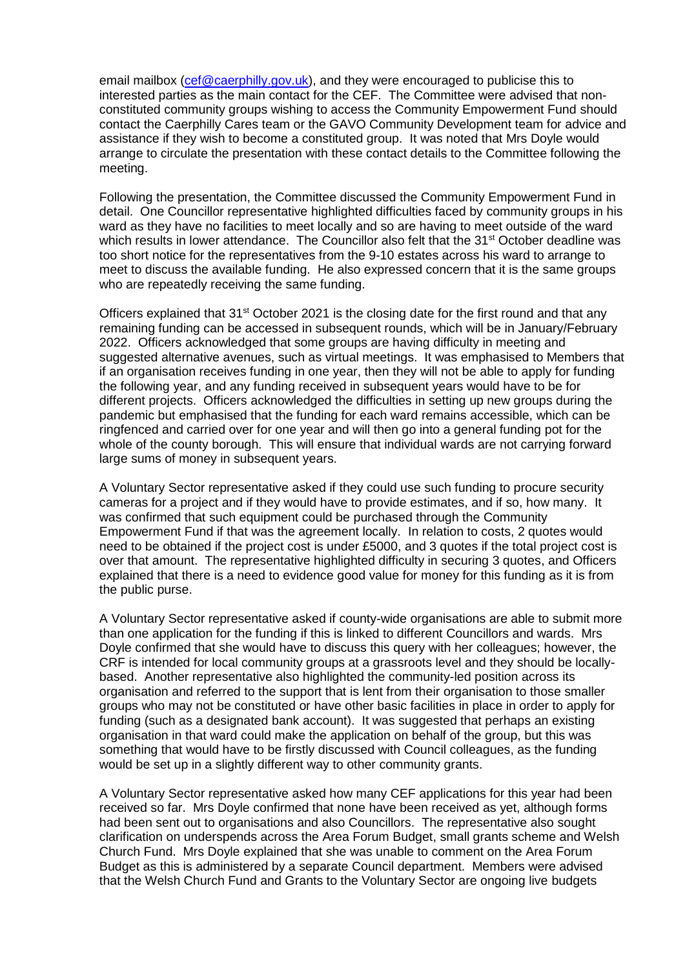email mailbox [\(cef@caerphilly.gov.uk\)](mailto:cef@caerphilly.gov.uk), and they were encouraged to publicise this to interested parties as the main contact for the CEF. The Committee were advised that nonconstituted community groups wishing to access the Community Empowerment Fund should contact the Caerphilly Cares team or the GAVO Community Development team for advice and assistance if they wish to become a constituted group. It was noted that Mrs Doyle would arrange to circulate the presentation with these contact details to the Committee following the meeting.

Following the presentation, the Committee discussed the Community Empowerment Fund in detail. One Councillor representative highlighted difficulties faced by community groups in his ward as they have no facilities to meet locally and so are having to meet outside of the ward which results in lower attendance. The Councillor also felt that the 31<sup>st</sup> October deadline was too short notice for the representatives from the 9-10 estates across his ward to arrange to meet to discuss the available funding. He also expressed concern that it is the same groups who are repeatedly receiving the same funding.

Officers explained that 31<sup>st</sup> October 2021 is the closing date for the first round and that any remaining funding can be accessed in subsequent rounds, which will be in January/February 2022. Officers acknowledged that some groups are having difficulty in meeting and suggested alternative avenues, such as virtual meetings. It was emphasised to Members that if an organisation receives funding in one year, then they will not be able to apply for funding the following year, and any funding received in subsequent years would have to be for different projects. Officers acknowledged the difficulties in setting up new groups during the pandemic but emphasised that the funding for each ward remains accessible, which can be ringfenced and carried over for one year and will then go into a general funding pot for the whole of the county borough. This will ensure that individual wards are not carrying forward large sums of money in subsequent years.

A Voluntary Sector representative asked if they could use such funding to procure security cameras for a project and if they would have to provide estimates, and if so, how many. It was confirmed that such equipment could be purchased through the Community Empowerment Fund if that was the agreement locally. In relation to costs, 2 quotes would need to be obtained if the project cost is under £5000, and 3 quotes if the total project cost is over that amount. The representative highlighted difficulty in securing 3 quotes, and Officers explained that there is a need to evidence good value for money for this funding as it is from the public purse.

A Voluntary Sector representative asked if county-wide organisations are able to submit more than one application for the funding if this is linked to different Councillors and wards. Mrs Doyle confirmed that she would have to discuss this query with her colleagues; however, the CRF is intended for local community groups at a grassroots level and they should be locallybased. Another representative also highlighted the community-led position across its organisation and referred to the support that is lent from their organisation to those smaller groups who may not be constituted or have other basic facilities in place in order to apply for funding (such as a designated bank account). It was suggested that perhaps an existing organisation in that ward could make the application on behalf of the group, but this was something that would have to be firstly discussed with Council colleagues, as the funding would be set up in a slightly different way to other community grants.

A Voluntary Sector representative asked how many CEF applications for this year had been received so far. Mrs Doyle confirmed that none have been received as yet, although forms had been sent out to organisations and also Councillors. The representative also sought clarification on underspends across the Area Forum Budget, small grants scheme and Welsh Church Fund. Mrs Doyle explained that she was unable to comment on the Area Forum Budget as this is administered by a separate Council department. Members were advised that the Welsh Church Fund and Grants to the Voluntary Sector are ongoing live budgets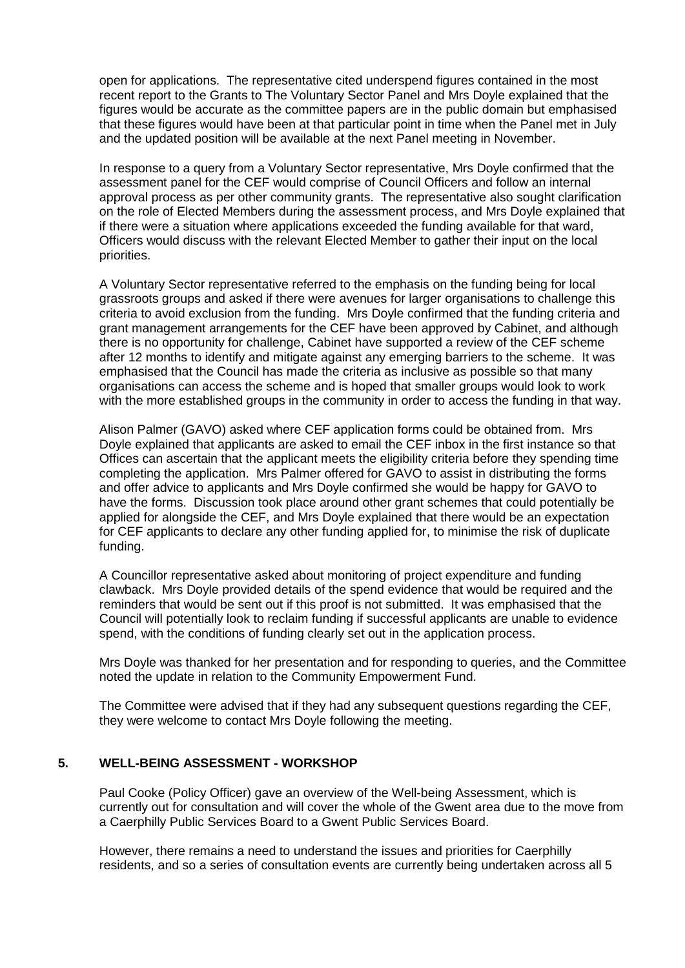open for applications. The representative cited underspend figures contained in the most recent report to the Grants to The Voluntary Sector Panel and Mrs Doyle explained that the figures would be accurate as the committee papers are in the public domain but emphasised that these figures would have been at that particular point in time when the Panel met in July and the updated position will be available at the next Panel meeting in November.

In response to a query from a Voluntary Sector representative, Mrs Doyle confirmed that the assessment panel for the CEF would comprise of Council Officers and follow an internal approval process as per other community grants. The representative also sought clarification on the role of Elected Members during the assessment process, and Mrs Doyle explained that if there were a situation where applications exceeded the funding available for that ward, Officers would discuss with the relevant Elected Member to gather their input on the local priorities.

A Voluntary Sector representative referred to the emphasis on the funding being for local grassroots groups and asked if there were avenues for larger organisations to challenge this criteria to avoid exclusion from the funding. Mrs Doyle confirmed that the funding criteria and grant management arrangements for the CEF have been approved by Cabinet, and although there is no opportunity for challenge, Cabinet have supported a review of the CEF scheme after 12 months to identify and mitigate against any emerging barriers to the scheme. It was emphasised that the Council has made the criteria as inclusive as possible so that many organisations can access the scheme and is hoped that smaller groups would look to work with the more established groups in the community in order to access the funding in that way.

Alison Palmer (GAVO) asked where CEF application forms could be obtained from. Mrs Doyle explained that applicants are asked to email the CEF inbox in the first instance so that Offices can ascertain that the applicant meets the eligibility criteria before they spending time completing the application. Mrs Palmer offered for GAVO to assist in distributing the forms and offer advice to applicants and Mrs Doyle confirmed she would be happy for GAVO to have the forms. Discussion took place around other grant schemes that could potentially be applied for alongside the CEF, and Mrs Doyle explained that there would be an expectation for CEF applicants to declare any other funding applied for, to minimise the risk of duplicate funding.

A Councillor representative asked about monitoring of project expenditure and funding clawback. Mrs Doyle provided details of the spend evidence that would be required and the reminders that would be sent out if this proof is not submitted. It was emphasised that the Council will potentially look to reclaim funding if successful applicants are unable to evidence spend, with the conditions of funding clearly set out in the application process.

Mrs Doyle was thanked for her presentation and for responding to queries, and the Committee noted the update in relation to the Community Empowerment Fund.

The Committee were advised that if they had any subsequent questions regarding the CEF, they were welcome to contact Mrs Doyle following the meeting.

#### **5. WELL-BEING ASSESSMENT - WORKSHOP**

Paul Cooke (Policy Officer) gave an overview of the Well-being Assessment, which is currently out for consultation and will cover the whole of the Gwent area due to the move from a Caerphilly Public Services Board to a Gwent Public Services Board.

However, there remains a need to understand the issues and priorities for Caerphilly residents, and so a series of consultation events are currently being undertaken across all 5